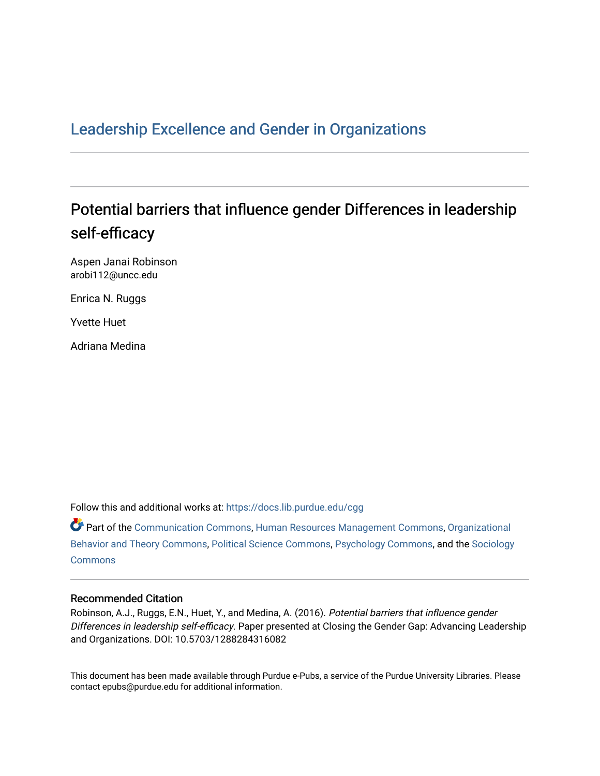## [Leadership Excellence and Gender in Organizations](https://docs.lib.purdue.edu/cgg)

## Potential barriers that influence gender Differences in leadership self-efficacy

Aspen Janai Robinson arobi112@uncc.edu

Enrica N. Ruggs

Yvette Huet

Adriana Medina

Follow this and additional works at: [https://docs.lib.purdue.edu/cgg](https://docs.lib.purdue.edu/cgg?utm_source=docs.lib.purdue.edu%2Fcgg%2Fvol1%2Fiss4%2F4&utm_medium=PDF&utm_campaign=PDFCoverPages)

Part of the [Communication Commons,](http://network.bepress.com/hgg/discipline/325?utm_source=docs.lib.purdue.edu%2Fcgg%2Fvol1%2Fiss4%2F4&utm_medium=PDF&utm_campaign=PDFCoverPages) [Human Resources Management Commons,](http://network.bepress.com/hgg/discipline/633?utm_source=docs.lib.purdue.edu%2Fcgg%2Fvol1%2Fiss4%2F4&utm_medium=PDF&utm_campaign=PDFCoverPages) [Organizational](http://network.bepress.com/hgg/discipline/639?utm_source=docs.lib.purdue.edu%2Fcgg%2Fvol1%2Fiss4%2F4&utm_medium=PDF&utm_campaign=PDFCoverPages) [Behavior and Theory Commons,](http://network.bepress.com/hgg/discipline/639?utm_source=docs.lib.purdue.edu%2Fcgg%2Fvol1%2Fiss4%2F4&utm_medium=PDF&utm_campaign=PDFCoverPages) [Political Science Commons,](http://network.bepress.com/hgg/discipline/386?utm_source=docs.lib.purdue.edu%2Fcgg%2Fvol1%2Fiss4%2F4&utm_medium=PDF&utm_campaign=PDFCoverPages) [Psychology Commons,](http://network.bepress.com/hgg/discipline/404?utm_source=docs.lib.purdue.edu%2Fcgg%2Fvol1%2Fiss4%2F4&utm_medium=PDF&utm_campaign=PDFCoverPages) and the [Sociology](http://network.bepress.com/hgg/discipline/416?utm_source=docs.lib.purdue.edu%2Fcgg%2Fvol1%2Fiss4%2F4&utm_medium=PDF&utm_campaign=PDFCoverPages) [Commons](http://network.bepress.com/hgg/discipline/416?utm_source=docs.lib.purdue.edu%2Fcgg%2Fvol1%2Fiss4%2F4&utm_medium=PDF&utm_campaign=PDFCoverPages)

## Recommended Citation

Robinson, A.J., Ruggs, E.N., Huet, Y., and Medina, A. (2016). Potential barriers that influence gender Differences in leadership self-efficacy. Paper presented at Closing the Gender Gap: Advancing Leadership and Organizations. DOI: 10.5703/1288284316082

This document has been made available through Purdue e-Pubs, a service of the Purdue University Libraries. Please contact epubs@purdue.edu for additional information.